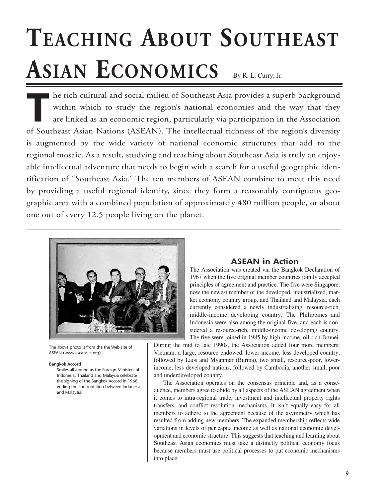# **TEACHING ABOUT SOUTHEAST ASIAN ECONOMICS** By R. L. Curry, Jr.

**T**he rich cultural and social milieu of Southeast Asia provides a superb background within which to study the region's national economies and the way that they are linked as an economic region, particularly via participation in the Association of Southeast Asian Nations (ASEAN). The intellectual richness of the region's diversity is augmented by the wide variety of national economic structures that add to the regional mosaic. As a result, studying and teaching about Southeast Asia is truly an enjoyable intellectual adventure that needs to begin with a search for a useful geographic identification of "Southeast Asia." The ten members of ASEAN combine to meet this need by providing a useful regional identity, since they form a reasonably contiguous geographic area with a combined population of approximately 480 million people, or about one out of every 12.5 people living on the planet.



The above photo is from the the Web site of ASEAN (www.aseansec.org).

### **Bangkok Accord**

Smiles all around as the Foreign Ministers of Indonesia, Thailand and Malaysia celebrate the signing of the Bangkok Accord in 1966 ending the confrontation between Indonesia and Malaysia.

## **ASEAN in Action**

The Association was created via the Bangkok Declaration of 1967 when the five original member countries jointly accepted principles of agreement and practice. The five were Singapore, now the newest member of the developed, industrialized, market economy country group, and Thailand and Malaysia, each currently considered a newly industrializing, resource-rich, middle-income developing country. The Philippines and Indonesia were also among the original five, and each is considered a resource-rich, middle-income developing country. The five were joined in 1985 by high-income, oil-rich Brunei.

During the mid to late 1990s, the Association added four more members: Vietnam, a large, resource endowed, lower-income, less developed country, followed by Laos and Myanmar (Burma), two small, resource-poor, lowerincome, less developed nations, followed by Cambodia, another small, poor and underdeveloped country.

The Association operates on the consensus principle and, as a consequence, members agree to abide by all aspects of the ASEAN agreement when it comes to intra-regional trade, investment and intellectual property rights transfers, and conflict resolution mechanisms. It isn't equally easy for all members to adhere to the agreement because of the asymmetry which has resulted from adding new members. The expanded membership reflects wide variations in levels of per capita income as well as national economic development and economic structure. This suggests that teaching and learning about Southeast Asian economics must take a distinctly political economy focus because members must use political processes to put economic mechanisms into place.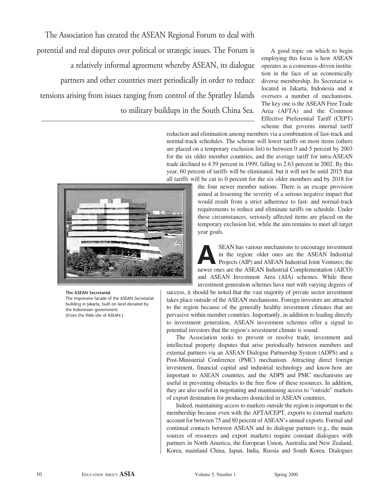The Association has created the ASEAN Regional Forum to deal with potential and real disputes over political or strategic issues. The Forum is a relatively informal agreement whereby ASEAN, its dialogue partners and other countries meet periodically in order to reduce tensions arising from issues ranging from control of the Spratley Islands to military buildups in the South China Sea.

A good topic on which to begin employing this focus is how ASEAN operates as a consensus-driven institution in the face of an economically diverse membership. Its Secretariat is located in Jakarta, Indonesia and it oversees a number of mechanisms. The key one is the ASEAN Free Trade Area (AFTA) and the Common Effective Preferential Tariff (CEPT) scheme that governs internal tariff

reduction and elimination among members via a combination of fast-track and normal-track schedules. The scheme will lower tariffs on most items (others are placed on a temporary exclusion list) to between 0 and 5 percent by 2003 for the six older member countries, and the average tariff for intra-ASEAN trade declined to 4.59 percent in 1999, falling to 2.63 percent in 2002. By this year, 60 percent of tariffs will be eliminated, but it will not be until 2015 that all tariffs will be cut to 0 percent for the six older members and by 2018 for



#### **The ASEAN Secretariat**

The impressive facade of the ASEAN Secretariat building in Jakarta, built on land donated by the Indonesian government. (From the Web site of ASEAN.)

the four newer member nations. There is an escape provision aimed at lessening the severity of a serious negative impact that would result from a strict adherence to fast- and normal-track requirements to reduce and eliminate tariffs on schedule. Under these circumstances, seriously affected items are placed on the temporary exclusion list, while the aim remains to meet all target year goals.

**ASEAN** has various mechanisms to encourage investment<br>in the region: older ones are the ASEAN Industrial<br>Projects (AIP) and ASEAN Industrial Joint Ventures; the<br>payer ones are the ASEAN Industrial Complementation (AICO) in the region: older ones are the ASEAN Industrial Projects (AIP) and ASEAN Industrial Joint Ventures; the newer ones are the ASEAN Industrial Complementation (AICO) and ASEAN Investment Area (AIA) schemes. While these investment generation schemes have met with varying degrees of

success, it should be noted that the vast majority of private sector investment takes place outside of the ASEAN mechanisms. Foreign investors are attracted to the region because of the generally healthy investment climates that are pervasive within member countries. Importantly, in addition to leading directly to investment generation, ASEAN investment schemes offer a signal to potential investors that the region's investment climate is sound.

The Association seeks to prevent or resolve trade, investment and intellectual property disputes that arise periodically between members and external partners via an ASEAN Dialogue Partnership System (ADPS) and a Post-Ministerial Conference (PMC) mechanism. Attracting direct foreign investment, financial capital and industrial technology and know-how are important to ASEAN countries, and the ADPS and PMC mechanisms are useful in preventing obstacles to the free flow of these resources. In addition, they are also useful in negotiating and maintaining access to "outside" markets of export destination for producers domiciled in ASEAN countries.

Indeed, maintaining access to markets outside the region is important to the membership because even with the AFTA/CEPT, exports to external markets account for between 75 and 80 percent of ASEAN's annual exports. Formal and continual contacts between ASEAN and its dialogue partners (e.g., the main sources of resources and export markets) require constant dialogues with partners in North America, the European Union, Australia and New Zealand, Korea, mainland China, Japan, India, Russia and South Korea. Dialogues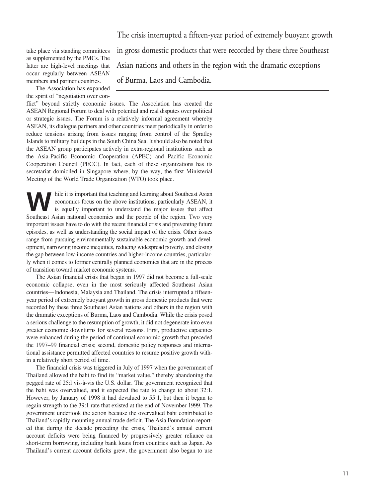take place via standing committees as supplemented by the PMCs. The latter are high-level meetings that occur regularly between ASEAN members and partner countries.

The Association has expanded the spirit of "negotiation over con-

The crisis interrupted a fifteen-year period of extremely buoyant growth in gross domestic products that were recorded by these three Southeast Asian nations and others in the region with the dramatic exceptions of Burma, Laos and Cambodia.

flict" beyond strictly economic issues. The Association has created the ASEAN Regional Forum to deal with potential and real disputes over political or strategic issues. The Forum is a relatively informal agreement whereby ASEAN, its dialogue partners and other countries meet periodically in order to reduce tensions arising from issues ranging from control of the Spratley Islands to military buildups in the South China Sea. It should also be noted that the ASEAN group participates actively in extra-regional institutions such as the Asia-Pacific Economic Cooperation (APEC) and Pacific Economic Cooperation Council (PECC). In fact, each of these organizations has its secretariat domiciled in Singapore where, by the way, the first Ministerial Meeting of the World Trade Organization (WTO) took place.

hile it is important that teaching and learning about Southeast Asian<br>economics focus on the above institutions, particularly ASEAN, it<br>is equally important to understand the major issues that affect<br>Southeast Asian nation economics focus on the above institutions, particularly ASEAN, it is equally important to understand the major issues that affect Southeast Asian national economies and the people of the region. Two very important issues have to do with the recent financial crisis and preventing future episodes, as well as understanding the social impact of the crisis. Other issues range from pursuing environmentally sustainable economic growth and development, narrowing income inequities, reducing widespread poverty, and closing the gap between low-income countries and higher-income countries, particularly when it comes to former centrally planned economies that are in the process of transition toward market economic systems.

The Asian financial crisis that began in 1997 did not become a full-scale economic collapse, even in the most seriously affected Southeast Asian countries—Indonesia, Malaysia and Thailand. The crisis interrupted a fifteenyear period of extremely buoyant growth in gross domestic products that were recorded by these three Southeast Asian nations and others in the region with the dramatic exceptions of Burma, Laos and Cambodia. While the crisis posed a serious challenge to the resumption of growth, it did not degenerate into even greater economic downturns for several reasons. First, productive capacities were enhanced during the period of continual economic growth that preceded the 1997–99 financial crisis; second, domestic policy responses and international assistance permitted affected countries to resume positive growth within a relatively short period of time.

The financial crisis was triggered in July of 1997 when the government of Thailand allowed the baht to find its "market value," thereby abandoning the pegged rate of 25:l vis-à-vis the U.S. dollar. The government recognized that the baht was overvalued, and it expected the rate to change to about 32:1. However, by January of 1998 it had devalued to 55:1, but then it began to regain strength to the 39:1 rate that existed at the end of November 1999. The government undertook the action because the overvalued baht contributed to Thailand's rapidly mounting annual trade deficit. The Asia Foundation reported that during the decade preceding the crisis, Thailand's annual current account deficits were being financed by progressively greater reliance on short-term borrowing, including bank loans from countries such as Japan. As Thailand's current account deficits grew, the government also began to use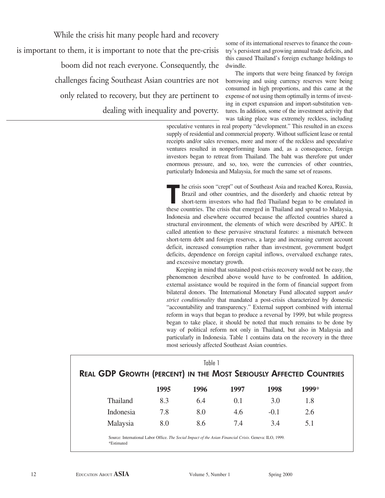While the crisis hit many people hard and recovery is important to them, it is important to note that the pre-crisis boom did not reach everyone. Consequently, the challenges facing Southeast Asian countries are not only related to recovery, but they are pertinent to dealing with inequality and poverty.

some of its international reserves to finance the country's persistent and growing annual trade deficits, and this caused Thailand's foreign exchange holdings to dwindle.

The imports that were being financed by foreign borrowing and using currency reserves were being consumed in high proportions, and this came at the expense of not using them optimally in terms of investing in export expansion and import-substitution ventures. In addition, some of the investment activity that was taking place was extremely reckless, including

speculative ventures in real property "development." This resulted in an excess supply of residential and commercial property. Without sufficient lease or rental receipts and/or sales revenues, more and more of the reckless and speculative ventures resulted in nonperforming loans and, as a consequence, foreign investors began to retreat from Thailand. The baht was therefore put under enormous pressure, and so, too, were the currencies of other countries, particularly Indonesia and Malaysia, for much the same set of reasons.

**The crisis soon "crept" out of Southeast Asia and reached Korea, Russia, Brazil and other countries, and the disorderly and chaotic retreat by short-term investors who had fled Thailand began to be emulated in these count** Brazil and other countries, and the disorderly and chaotic retreat by short-term investors who had fled Thailand began to be emulated in these countries. The crisis that emerged in Thailand and spread to Malaysia, Indonesia and elsewhere occurred because the affected countries shared a structural environment, the elements of which were described by APEC. It called attention to these pervasive structural features: a mismatch between short-term debt and foreign reserves, a large and increasing current account deficit, increased consumption rather than investment, government budget deficits, dependence on foreign capital inflows, overvalued exchange rates, and excessive monetary growth.

Keeping in mind that sustained post-crisis recovery would not be easy, the phenomenon described above would have to be confronted. In addition, external assistance would be required in the form of financial support from bilateral donors. The International Monetary Fund allocated support *under strict conditionality* that mandated a post-crisis characterized by domestic "accountability and transparency." External support combined with internal reform in ways that began to produce a reversal by 1999, but while progress began to take place, it should be noted that much remains to be done by way of political reform not only in Thailand, but also in Malaysia and particularly in Indonesia. Table 1 contains data on the recovery in the three most seriously affected Southeast Asian countries.

| Table 1<br><b>REAL GDP GROWTH (PERCENT) IN THE MOST SERIOUSLY AFFECTED COUNTRIES</b> |      |      |      |        |       |  |  |
|--------------------------------------------------------------------------------------|------|------|------|--------|-------|--|--|
|                                                                                      | 1995 | 1996 | 1997 | 1998   | 1999* |  |  |
| Thailand                                                                             | 8.3  | 6.4  | 0.1  | 3.0    | 1.8   |  |  |
| Indonesia                                                                            | 7.8  | 8.0  | 4.6  | $-0.1$ | 2.6   |  |  |
| Malaysia                                                                             | 8.0  | 8.6  | 7.4  | 3.4    | 5.1   |  |  |
|                                                                                      |      |      |      |        |       |  |  |

Source: International Labor Office. *The Social Impact of the Asian Financial Crisis*. Geneva: ILO, 1999*.* \*Estimated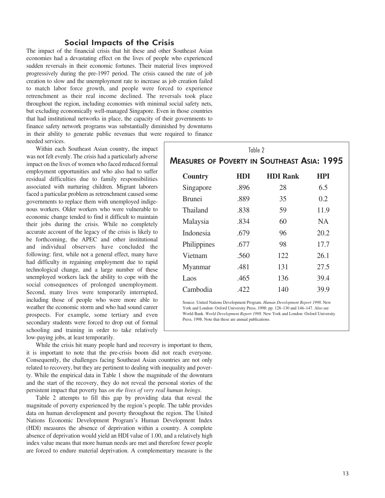## **Social Impacts of the Crisis**

The impact of the financial crisis that hit these and other Southeast Asian economies had a devastating effect on the lives of people who experienced sudden reversals in their economic fortunes. Their material lives improved progressively during the pre-1997 period. The crisis caused the rate of job creation to slow and the unemployment rate to increase as job creation failed to match labor force growth, and people were forced to experience retrenchment as their real income declined. The reversals took place throughout the region, including economies with minimal social safety nets, but excluding economically well-managed Singapore. Even in those countries that had institutional networks in place, the capacity of their governments to finance safety network programs was substantially diminished by downturns in their ability to generate public revenues that were required to finance needed services.

Within each Southeast Asian country, the impact was not felt evenly. The crisis had a particularly adverse impact on the lives of women who faced reduced formal employment opportunities and who also had to suffer residual difficulties due to family responsibilities associated with nurturing children. Migrant laborers faced a particular problem as retrenchment caused some governments to replace them with unemployed indigenous workers. Older workers who were vulnerable to economic change tended to find it difficult to maintain their jobs during the crisis. While no completely accurate account of the legacy of the crisis is likely to be forthcoming, the APEC and other institutional and individual observers have concluded the following: first, while not a general effect, many have had difficulty in regaining employment due to rapid technological change, and a large number of these unemployed workers lack the ability to cope with the social consequences of prolonged unemployment. Second, many lives were temporarily interrupted, including those of people who were more able to weather the economic storm and who had sound career prospects. For example, some tertiary and even secondary students were forced to drop out of formal schooling and training in order to take relatively low-paying jobs, at least temporarily.

While the crisis hit many people hard and recovery is important to them, it is important to note that the pre-crisis boom did not reach everyone. Consequently, the challenges facing Southeast Asian countries are not only related to recovery, but they are pertinent to dealing with inequality and poverty. While the empirical data in Table 1 show the magnitude of the downturn and the start of the recovery, they do not reveal the personal stories of the persistent impact that poverty has *on the lives of very real human beings*.

Table 2 attempts to fill this gap by providing data that reveal the magnitude of poverty experienced by the region's people. The table provides data on human development and poverty throughout the region. The United Nations Economic Development Program's Human Development Index (HDI) measures the absence of deprivation within a country. A complete absence of deprivation would yield an HDI value of 1.00, and a relatively high index value means that more human needs are met and therefore fewer people are forced to endure material deprivation. A complementary measure is the

| Table 2                                     |      |                 |            |  |  |  |  |  |
|---------------------------------------------|------|-----------------|------------|--|--|--|--|--|
| Measures of Poverty in Southeast Asia: 1995 |      |                 |            |  |  |  |  |  |
| <b>Country</b>                              | HDI  | <b>HDI Rank</b> | <b>HPI</b> |  |  |  |  |  |
| Singapore                                   | .896 | 28              | 6.5        |  |  |  |  |  |
| <b>Brunei</b>                               | .889 | 35              | 0.2        |  |  |  |  |  |
| Thailand                                    | .838 | 59              | 11.9       |  |  |  |  |  |
| Malaysia                                    | .834 | 60              | NA.        |  |  |  |  |  |
| Indonesia                                   | .679 | 96              | 20.2       |  |  |  |  |  |
| Philippines                                 | .677 | 98              | 17.7       |  |  |  |  |  |
| Vietnam                                     | .560 | 122             | 26.1       |  |  |  |  |  |
| Myanmar                                     | .481 | 131             | 27.5       |  |  |  |  |  |
| Laos                                        | .465 | 136             | 39.4       |  |  |  |  |  |
| Cambodia                                    | .422 | 140             | 39.9       |  |  |  |  |  |

Source: United Nations Development Program. *Human Development Report 1998*. New York and London: Oxford University Press, 1998: pp. 128–130 and 146–147. Also see World Bank. *World Development Report 1998.* New York and London: Oxford University Press, 1998. Note that these are annual publications.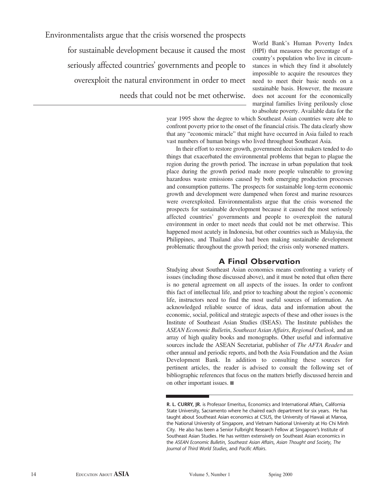Environmentalists argue that the crisis worsened the prospects

for sustainable development because it caused the most seriously affected countries' governments and people to overexploit the natural environment in order to meet needs that could not be met otherwise.

World Bank's Human Poverty Index (HPI) that measures the percentage of a country's population who live in circumstances in which they find it absolutely impossible to acquire the resources they need to meet their basic needs on a sustainable basis. However, the measure does not account for the economically marginal families living perilously close to absolute poverty. Available data for the

year 1995 show the degree to which Southeast Asian countries were able to confront poverty prior to the onset of the financial crisis. The data clearly show that any "economic miracle" that might have occurred in Asia failed to reach vast numbers of human beings who lived throughout Southeast Asia.

In their effort to restore growth, government decision makers tended to do things that exacerbated the environmental problems that began to plague the region during the growth period. The increase in urban population that took place during the growth period made more people vulnerable to growing hazardous waste emissions caused by both emerging production processes and consumption patterns. The prospects for sustainable long-term economic growth and development were dampened when forest and marine resources were overexploited. Environmentalists argue that the crisis worsened the prospects for sustainable development because it caused the most seriously affected countries' governments and people to overexploit the natural environment in order to meet needs that could not be met otherwise. This happened most acutely in Indonesia, but other countries such as Malaysia, the Philippines, and Thailand also had been making sustainable development problematic throughout the growth period; the crisis only worsened matters.

## **A Final Observation**

Studying about Southeast Asian economics means confronting a variety of issues (including those discussed above), and it must be noted that often there is no general agreement on all aspects of the issues. In order to confront this fact of intellectual life, and prior to teaching about the region's economic life, instructors need to find the most useful sources of information. An acknowledged reliable source of ideas, data and information about the economic, social, political and strategic aspects of these and other issues is the Institute of Southeast Asian Studies (ISEAS). The Institute publishes the *ASEAN Economic Bulletin*, *Southeast Asian Affairs*, *Regional Outlook,* and an array of high quality books and monographs. Other useful and informative sources include the ASEAN Secretariat, publisher of *The AFTA Reader* and other annual and periodic reports, and both the Asia Foundation and the Asian Development Bank. In addition to consulting these sources for pertinent articles, the reader is advised to consult the following set of bibliographic references that focus on the matters briefly discussed herein and on other important issues.  $\blacksquare$ 

**R. L. CURRY, JR.** is Professor Emeritus, Economics and International Affairs, California State University, Sacramento where he chaired each department for six years. He has taught about Southeast Asian economics at CSUS, the University of Hawaii at Manoa, the National University of Singapore, and Vietnam National University at Ho Chi Minh City. He also has been a Senior Fulbright Research Fellow at Singapore's Institute of Southeast Asian Studies. He has written extensively on Southeast Asian economics in the *ASEAN Economic Bulletin*, *Southeast Asian Affairs*, *Asian Thought and Society*, *The Journal of Third World Studies*, and *Pacific Affairs*.